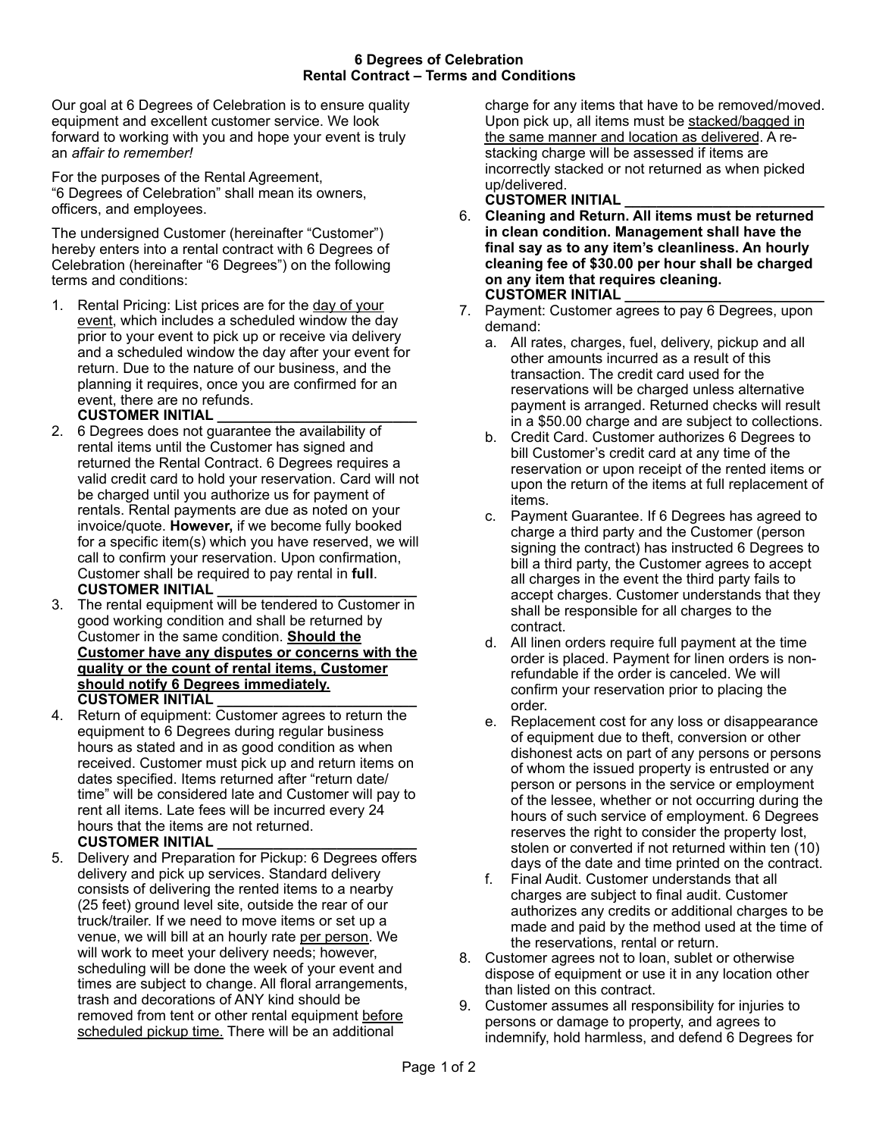Our goal at 6 Degrees of Celebration is to ensure quality equipment and excellent customer service. We look forward to working with you and hope your event is truly an *affair to remember!* 

For the purposes of the Rental Agreement, "6 Degrees of Celebration" shall mean its owners, officers, and employees.

The undersigned Customer (hereinafter "Customer") hereby enters into a rental contract with 6 Degrees of Celebration (hereinafter "6 Degrees") on the following terms and conditions:

1. Rental Pricing: List prices are for the day of your event, which includes a scheduled window the day prior to your event to pick up or receive via delivery and a scheduled window the day after your event for return. Due to the nature of our business, and the planning it requires, once you are confirmed for an event, there are no refunds.

## **CUSTOMER INITIAL \_\_\_\_\_\_\_\_\_\_\_\_\_\_\_\_\_\_\_\_\_\_\_\_\_**

- 2. 6 Degrees does not guarantee the availability of rental items until the Customer has signed and returned the Rental Contract. 6 Degrees requires a valid credit card to hold your reservation. Card will not be charged until you authorize us for payment of rentals. Rental payments are due as noted on your invoice/quote. **However,** if we become fully booked for a specific item(s) which you have reserved, we will call to confirm your reservation. Upon confirmation, Customer shall be required to pay rental in **full**. **CUSTOMER INITIAL \_\_\_\_\_\_\_\_\_\_\_\_\_\_\_\_\_\_\_\_\_\_\_\_\_**
- 3. The rental equipment will be tendered to Customer in good working condition and shall be returned by Customer in the same condition. **Should the Customer have any disputes or concerns with the quality or the count of rental items, Customer should notify 6 Degrees immediately. CUSTOMER INITIAL \_\_\_\_\_\_\_\_\_\_\_\_\_\_\_\_\_\_\_\_\_\_\_\_\_**
- 4. Return of equipment: Customer agrees to return the equipment to 6 Degrees during regular business hours as stated and in as good condition as when received. Customer must pick up and return items on dates specified. Items returned after "return date/ time" will be considered late and Customer will pay to rent all items. Late fees will be incurred every 24 hours that the items are not returned.

## **CUSTOMER INITIAL \_\_\_\_\_\_\_\_\_\_\_\_\_\_\_\_\_\_\_\_\_\_\_\_\_**

5. Delivery and Preparation for Pickup: 6 Degrees offers delivery and pick up services. Standard delivery consists of delivering the rented items to a nearby (25 feet) ground level site, outside the rear of our truck/trailer. If we need to move items or set up a venue, we will bill at an hourly rate per person. We will work to meet your delivery needs; however, scheduling will be done the week of your event and times are subject to change. All floral arrangements, trash and decorations of ANY kind should be removed from tent or other rental equipment before scheduled pickup time. There will be an additional

charge for any items that have to be removed/moved. Upon pick up, all items must be stacked/bagged in the same manner and location as delivered. A restacking charge will be assessed if items are incorrectly stacked or not returned as when picked up/delivered.

## **CUSTOMER INITIAL \_\_\_\_\_\_\_\_\_\_\_\_\_\_\_\_\_\_\_\_\_\_\_\_\_**

- 6. **Cleaning and Return. All items must be returned in clean condition. Management shall have the final say as to any item's cleanliness. An hourly cleaning fee of \$30.00 per hour shall be charged on any item that requires cleaning. CUSTOMER INITIAL \_\_\_\_\_\_\_\_\_\_\_\_\_\_\_\_\_\_\_\_\_\_\_\_\_**
- 7. Payment: Customer agrees to pay 6 Degrees, upon demand:
	- a. All rates, charges, fuel, delivery, pickup and all other amounts incurred as a result of this transaction. The credit card used for the reservations will be charged unless alternative payment is arranged. Returned checks will result in a \$50.00 charge and are subject to collections.
	- b. Credit Card. Customer authorizes 6 Degrees to bill Customer's credit card at any time of the reservation or upon receipt of the rented items or upon the return of the items at full replacement of items.
	- c. Payment Guarantee. If 6 Degrees has agreed to charge a third party and the Customer (person signing the contract) has instructed 6 Degrees to bill a third party, the Customer agrees to accept all charges in the event the third party fails to accept charges. Customer understands that they shall be responsible for all charges to the contract.
	- d. All linen orders require full payment at the time order is placed. Payment for linen orders is nonrefundable if the order is canceled. We will confirm your reservation prior to placing the order.
	- e. Replacement cost for any loss or disappearance of equipment due to theft, conversion or other dishonest acts on part of any persons or persons of whom the issued property is entrusted or any person or persons in the service or employment of the lessee, whether or not occurring during the hours of such service of employment. 6 Degrees reserves the right to consider the property lost, stolen or converted if not returned within ten (10) days of the date and time printed on the contract.
	- f. Final Audit. Customer understands that all charges are subject to final audit. Customer authorizes any credits or additional charges to be made and paid by the method used at the time of the reservations, rental or return.
- 8. Customer agrees not to loan, sublet or otherwise dispose of equipment or use it in any location other than listed on this contract.
- 9. Customer assumes all responsibility for injuries to persons or damage to property, and agrees to indemnify, hold harmless, and defend 6 Degrees for